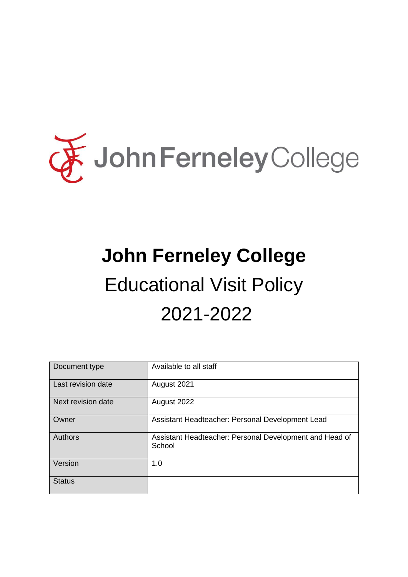

# **John Ferneley College** Educational Visit Policy 2021-2022

| Document type      | Available to all staff                                            |
|--------------------|-------------------------------------------------------------------|
| Last revision date | August 2021                                                       |
| Next revision date | August 2022                                                       |
| Owner              | Assistant Headteacher: Personal Development Lead                  |
| <b>Authors</b>     | Assistant Headteacher: Personal Development and Head of<br>School |
| Version            | 1.0                                                               |
| <b>Status</b>      |                                                                   |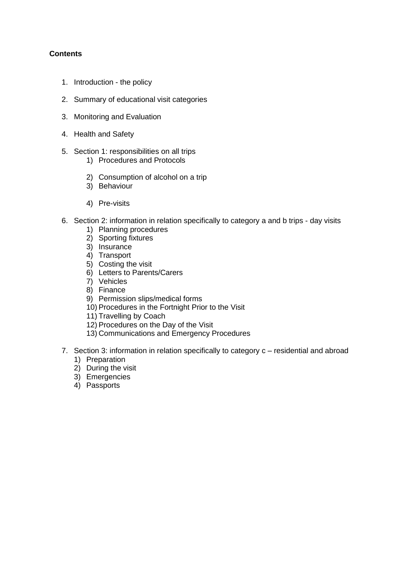## **Contents**

- 1. Introduction the policy
- 2. Summary of educational visit categories
- 3. Monitoring and Evaluation
- 4. Health and Safety
- 5. Section 1: responsibilities on all trips
	- 1) Procedures and Protocols
	- 2) Consumption of alcohol on a trip
	- 3) Behaviour
	- 4) Pre-visits
- 6. Section 2: information in relation specifically to category a and b trips day visits
	- 1) Planning procedures
	- 2) Sporting fixtures
	- 3) Insurance
	- 4) Transport
	- 5) Costing the visit
	- 6) Letters to Parents/Carers
	- 7) Vehicles
	- 8) Finance
	- 9) Permission slips/medical forms
	- 10) Procedures in the Fortnight Prior to the Visit
	- 11) Travelling by Coach
	- 12) Procedures on the Day of the Visit
	- 13) Communications and Emergency Procedures
- 7. Section 3: information in relation specifically to category c residential and abroad 1) Preparation
	-
	- 2) During the visit
	- 3) Emergencies
	- 4) Passports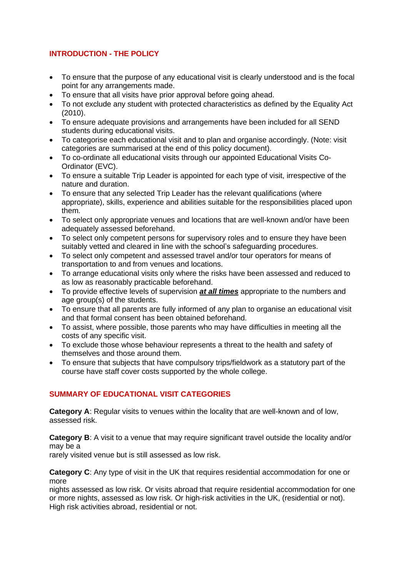# **INTRODUCTION - THE POLICY**

- To ensure that the purpose of any educational visit is clearly understood and is the focal point for any arrangements made.
- To ensure that all visits have prior approval before going ahead.
- To not exclude any student with protected characteristics as defined by the Equality Act (2010).
- To ensure adequate provisions and arrangements have been included for all SEND students during educational visits.
- To categorise each educational visit and to plan and organise accordingly. (Note: visit categories are summarised at the end of this policy document).
- To co-ordinate all educational visits through our appointed Educational Visits Co-Ordinator (EVC).
- To ensure a suitable Trip Leader is appointed for each type of visit, irrespective of the nature and duration.
- To ensure that any selected Trip Leader has the relevant qualifications (where appropriate), skills, experience and abilities suitable for the responsibilities placed upon them.
- To select only appropriate venues and locations that are well-known and/or have been adequately assessed beforehand.
- To select only competent persons for supervisory roles and to ensure they have been suitably vetted and cleared in line with the school's safeguarding procedures.
- To select only competent and assessed travel and/or tour operators for means of transportation to and from venues and locations.
- To arrange educational visits only where the risks have been assessed and reduced to as low as reasonably practicable beforehand.
- To provide effective levels of supervision *at all times* appropriate to the numbers and age group(s) of the students.
- To ensure that all parents are fully informed of any plan to organise an educational visit and that formal consent has been obtained beforehand.
- To assist, where possible, those parents who may have difficulties in meeting all the costs of any specific visit.
- To exclude those whose behaviour represents a threat to the health and safety of themselves and those around them.
- To ensure that subjects that have compulsory trips/fieldwork as a statutory part of the course have staff cover costs supported by the whole college.

# **SUMMARY OF EDUCATIONAL VISIT CATEGORIES**

**Category A**: Regular visits to venues within the locality that are well-known and of low, assessed risk.

**Category B**: A visit to a venue that may require significant travel outside the locality and/or may be a

rarely visited venue but is still assessed as low risk.

**Category C**: Any type of visit in the UK that requires residential accommodation for one or more

nights assessed as low risk. Or visits abroad that require residential accommodation for one or more nights, assessed as low risk. Or high-risk activities in the UK, (residential or not). High risk activities abroad, residential or not.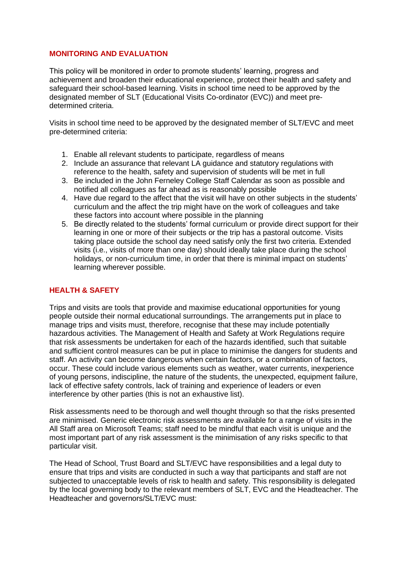#### **MONITORING AND EVALUATION**

This policy will be monitored in order to promote students' learning, progress and achievement and broaden their educational experience, protect their health and safety and safeguard their school-based learning. Visits in school time need to be approved by the designated member of SLT (Educational Visits Co-ordinator (EVC)) and meet predetermined criteria.

Visits in school time need to be approved by the designated member of SLT/EVC and meet pre-determined criteria:

- 1. Enable all relevant students to participate, regardless of means
- 2. Include an assurance that relevant LA guidance and statutory regulations with reference to the health, safety and supervision of students will be met in full
- 3. Be included in the John Ferneley College Staff Calendar as soon as possible and notified all colleagues as far ahead as is reasonably possible
- 4. Have due regard to the affect that the visit will have on other subjects in the students' curriculum and the affect the trip might have on the work of colleagues and take these factors into account where possible in the planning
- 5. Be directly related to the students' formal curriculum or provide direct support for their learning in one or more of their subjects or the trip has a pastoral outcome. Visits taking place outside the school day need satisfy only the first two criteria. Extended visits (i.e., visits of more than one day) should ideally take place during the school holidays, or non-curriculum time, in order that there is minimal impact on students' learning wherever possible.

## **HEALTH & SAFETY**

Trips and visits are tools that provide and maximise educational opportunities for young people outside their normal educational surroundings. The arrangements put in place to manage trips and visits must, therefore, recognise that these may include potentially hazardous activities. The Management of Health and Safety at Work Regulations require that risk assessments be undertaken for each of the hazards identified, such that suitable and sufficient control measures can be put in place to minimise the dangers for students and staff. An activity can become dangerous when certain factors, or a combination of factors, occur. These could include various elements such as weather, water currents, inexperience of young persons, indiscipline, the nature of the students, the unexpected, equipment failure, lack of effective safety controls, lack of training and experience of leaders or even interference by other parties (this is not an exhaustive list).

Risk assessments need to be thorough and well thought through so that the risks presented are minimised. Generic electronic risk assessments are available for a range of visits in the All Staff area on Microsoft Teams; staff need to be mindful that each visit is unique and the most important part of any risk assessment is the minimisation of any risks specific to that particular visit.

The Head of School, Trust Board and SLT/EVC have responsibilities and a legal duty to ensure that trips and visits are conducted in such a way that participants and staff are not subjected to unacceptable levels of risk to health and safety. This responsibility is delegated by the local governing body to the relevant members of SLT, EVC and the Headteacher. The Headteacher and governors/SLT/EVC must: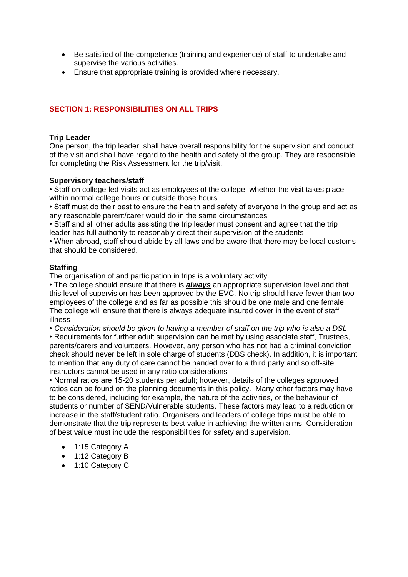- Be satisfied of the competence (training and experience) of staff to undertake and supervise the various activities.
- Ensure that appropriate training is provided where necessary.

## **SECTION 1: RESPONSIBILITIES ON ALL TRIPS**

#### **Trip Leader**

One person, the trip leader, shall have overall responsibility for the supervision and conduct of the visit and shall have regard to the health and safety of the group. They are responsible for completing the Risk Assessment for the trip/visit.

#### **Supervisory teachers/staff**

• Staff on college-led visits act as employees of the college, whether the visit takes place within normal college hours or outside those hours

• Staff must do their best to ensure the health and safety of everyone in the group and act as any reasonable parent/carer would do in the same circumstances

• Staff and all other adults assisting the trip leader must consent and agree that the trip leader has full authority to reasonably direct their supervision of the students

• When abroad, staff should abide by all laws and be aware that there may be local customs that should be considered.

#### **Staffing**

The organisation of and participation in trips is a voluntary activity.

• The college should ensure that there is *always* an appropriate supervision level and that this level of supervision has been approved by the EVC. No trip should have fewer than two employees of the college and as far as possible this should be one male and one female. The college will ensure that there is always adequate insured cover in the event of staff illness

*• Consideration should be given to having a member of staff on the trip who is also a DSL* • Requirements for further adult supervision can be met by using associate staff, Trustees, parents/carers and volunteers. However, any person who has not had a criminal conviction check should never be left in sole charge of students (DBS check). In addition, it is important to mention that any duty of care cannot be handed over to a third party and so off-site instructors cannot be used in any ratio considerations

• Normal ratios are 15-20 students per adult; however, details of the colleges approved ratios can be found on the planning documents in this policy. Many other factors may have to be considered, including for example, the nature of the activities, or the behaviour of students or number of SEND/Vulnerable students. These factors may lead to a reduction or increase in the staff/student ratio. Organisers and leaders of college trips must be able to demonstrate that the trip represents best value in achieving the written aims. Consideration of best value must include the responsibilities for safety and supervision.

- 1:15 Category A
- 1:12 Category B
- 1:10 Category C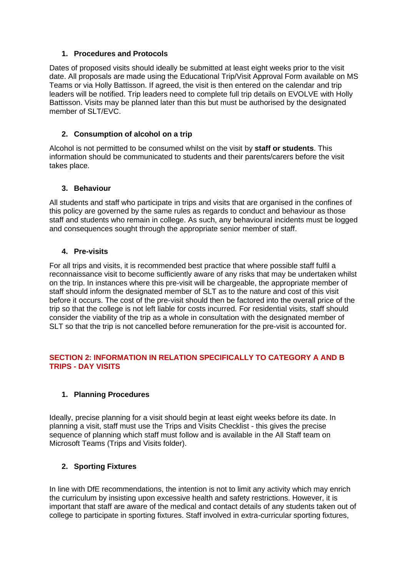#### **1. Procedures and Protocols**

Dates of proposed visits should ideally be submitted at least eight weeks prior to the visit date. All proposals are made using the Educational Trip/Visit Approval Form available on MS Teams or via Holly Battisson. If agreed, the visit is then entered on the calendar and trip leaders will be notified. Trip leaders need to complete full trip details on EVOLVE with Holly Battisson. Visits may be planned later than this but must be authorised by the designated member of SLT/EVC.

## **2. Consumption of alcohol on a trip**

Alcohol is not permitted to be consumed whilst on the visit by **staff or students**. This information should be communicated to students and their parents/carers before the visit takes place.

#### **3. Behaviour**

All students and staff who participate in trips and visits that are organised in the confines of this policy are governed by the same rules as regards to conduct and behaviour as those staff and students who remain in college. As such, any behavioural incidents must be logged and consequences sought through the appropriate senior member of staff.

#### **4. Pre-visits**

For all trips and visits, it is recommended best practice that where possible staff fulfil a reconnaissance visit to become sufficiently aware of any risks that may be undertaken whilst on the trip. In instances where this pre-visit will be chargeable, the appropriate member of staff should inform the designated member of SLT as to the nature and cost of this visit before it occurs. The cost of the pre-visit should then be factored into the overall price of the trip so that the college is not left liable for costs incurred. For residential visits, staff should consider the viability of the trip as a whole in consultation with the designated member of SLT so that the trip is not cancelled before remuneration for the pre-visit is accounted for.

## **SECTION 2: INFORMATION IN RELATION SPECIFICALLY TO CATEGORY A AND B TRIPS - DAY VISITS**

# **1. Planning Procedures**

Ideally, precise planning for a visit should begin at least eight weeks before its date. In planning a visit, staff must use the Trips and Visits Checklist - this gives the precise sequence of planning which staff must follow and is available in the All Staff team on Microsoft Teams (Trips and Visits folder).

# **2. Sporting Fixtures**

In line with DfE recommendations, the intention is not to limit any activity which may enrich the curriculum by insisting upon excessive health and safety restrictions. However, it is important that staff are aware of the medical and contact details of any students taken out of college to participate in sporting fixtures. Staff involved in extra-curricular sporting fixtures,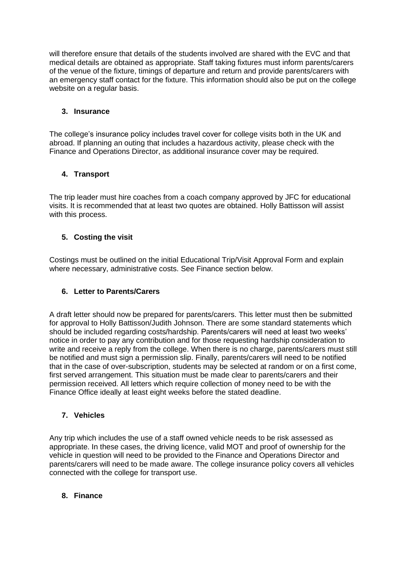will therefore ensure that details of the students involved are shared with the EVC and that medical details are obtained as appropriate. Staff taking fixtures must inform parents/carers of the venue of the fixture, timings of departure and return and provide parents/carers with an emergency staff contact for the fixture. This information should also be put on the college website on a regular basis.

#### **3. Insurance**

The college's insurance policy includes travel cover for college visits both in the UK and abroad. If planning an outing that includes a hazardous activity, please check with the Finance and Operations Director, as additional insurance cover may be required.

## **4. Transport**

The trip leader must hire coaches from a coach company approved by JFC for educational visits. It is recommended that at least two quotes are obtained. Holly Battisson will assist with this process.

# **5. Costing the visit**

Costings must be outlined on the initial Educational Trip/Visit Approval Form and explain where necessary, administrative costs. See Finance section below.

## **6. Letter to Parents/Carers**

A draft letter should now be prepared for parents/carers. This letter must then be submitted for approval to Holly Battisson/Judith Johnson. There are some standard statements which should be included regarding costs/hardship. Parents/carers will need at least two weeks' notice in order to pay any contribution and for those requesting hardship consideration to write and receive a reply from the college. When there is no charge, parents/carers must still be notified and must sign a permission slip. Finally, parents/carers will need to be notified that in the case of over-subscription, students may be selected at random or on a first come, first served arrangement. This situation must be made clear to parents/carers and their permission received. All letters which require collection of money need to be with the Finance Office ideally at least eight weeks before the stated deadline.

# **7. Vehicles**

Any trip which includes the use of a staff owned vehicle needs to be risk assessed as appropriate. In these cases, the driving licence, valid MOT and proof of ownership for the vehicle in question will need to be provided to the Finance and Operations Director and parents/carers will need to be made aware. The college insurance policy covers all vehicles connected with the college for transport use.

## **8. Finance**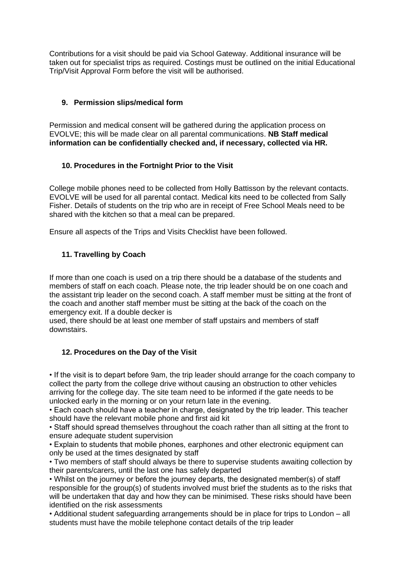Contributions for a visit should be paid via School Gateway. Additional insurance will be taken out for specialist trips as required. Costings must be outlined on the initial Educational Trip/Visit Approval Form before the visit will be authorised.

## **9. Permission slips/medical form**

Permission and medical consent will be gathered during the application process on EVOLVE; this will be made clear on all parental communications. **NB Staff medical information can be confidentially checked and, if necessary, collected via HR.**

## **10. Procedures in the Fortnight Prior to the Visit**

College mobile phones need to be collected from Holly Battisson by the relevant contacts. EVOLVE will be used for all parental contact. Medical kits need to be collected from Sally Fisher. Details of students on the trip who are in receipt of Free School Meals need to be shared with the kitchen so that a meal can be prepared.

Ensure all aspects of the Trips and Visits Checklist have been followed.

# **11. Travelling by Coach**

If more than one coach is used on a trip there should be a database of the students and members of staff on each coach. Please note, the trip leader should be on one coach and the assistant trip leader on the second coach. A staff member must be sitting at the front of the coach and another staff member must be sitting at the back of the coach on the emergency exit. If a double decker is

used, there should be at least one member of staff upstairs and members of staff downstairs.

#### **12. Procedures on the Day of the Visit**

• If the visit is to depart before 9am, the trip leader should arrange for the coach company to collect the party from the college drive without causing an obstruction to other vehicles arriving for the college day. The site team need to be informed if the gate needs to be unlocked early in the morning or on your return late in the evening.

• Each coach should have a teacher in charge, designated by the trip leader. This teacher should have the relevant mobile phone and first aid kit

• Staff should spread themselves throughout the coach rather than all sitting at the front to ensure adequate student supervision

• Explain to students that mobile phones, earphones and other electronic equipment can only be used at the times designated by staff

• Two members of staff should always be there to supervise students awaiting collection by their parents/carers, until the last one has safely departed

• Whilst on the journey or before the journey departs, the designated member(s) of staff responsible for the group(s) of students involved must brief the students as to the risks that will be undertaken that day and how they can be minimised. These risks should have been identified on the risk assessments

• Additional student safeguarding arrangements should be in place for trips to London – all students must have the mobile telephone contact details of the trip leader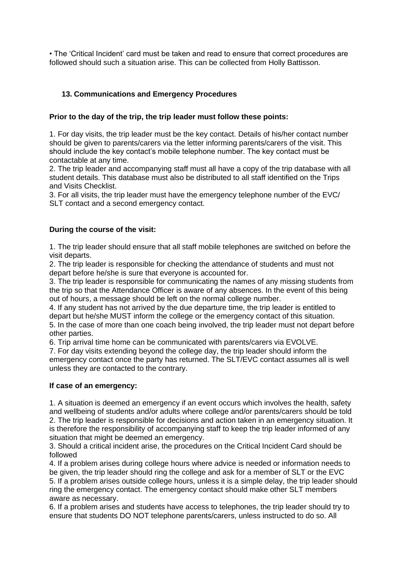• The 'Critical Incident' card must be taken and read to ensure that correct procedures are followed should such a situation arise. This can be collected from Holly Battisson.

## **13. Communications and Emergency Procedures**

#### **Prior to the day of the trip, the trip leader must follow these points:**

1. For day visits, the trip leader must be the key contact. Details of his/her contact number should be given to parents/carers via the letter informing parents/carers of the visit. This should include the key contact's mobile telephone number. The key contact must be contactable at any time.

2. The trip leader and accompanying staff must all have a copy of the trip database with all student details. This database must also be distributed to all staff identified on the Trips and Visits Checklist.

3. For all visits, the trip leader must have the emergency telephone number of the EVC/ SLT contact and a second emergency contact.

#### **During the course of the visit:**

1. The trip leader should ensure that all staff mobile telephones are switched on before the visit departs.

2. The trip leader is responsible for checking the attendance of students and must not depart before he/she is sure that everyone is accounted for.

3. The trip leader is responsible for communicating the names of any missing students from the trip so that the Attendance Officer is aware of any absences. In the event of this being out of hours, a message should be left on the normal college number.

4. If any student has not arrived by the due departure time, the trip leader is entitled to depart but he/she MUST inform the college or the emergency contact of this situation. 5. In the case of more than one coach being involved, the trip leader must not depart before other parties.

6. Trip arrival time home can be communicated with parents/carers via EVOLVE.

7. For day visits extending beyond the college day, the trip leader should inform the emergency contact once the party has returned. The SLT/EVC contact assumes all is well unless they are contacted to the contrary.

#### **If case of an emergency:**

1. A situation is deemed an emergency if an event occurs which involves the health, safety and wellbeing of students and/or adults where college and/or parents/carers should be told 2. The trip leader is responsible for decisions and action taken in an emergency situation. It is therefore the responsibility of accompanying staff to keep the trip leader informed of any situation that might be deemed an emergency.

3. Should a critical incident arise, the procedures on the Critical Incident Card should be followed

4. If a problem arises during college hours where advice is needed or information needs to be given, the trip leader should ring the college and ask for a member of SLT or the EVC 5. If a problem arises outside college hours, unless it is a simple delay, the trip leader should ring the emergency contact. The emergency contact should make other SLT members aware as necessary.

6. If a problem arises and students have access to telephones, the trip leader should try to ensure that students DO NOT telephone parents/carers, unless instructed to do so. All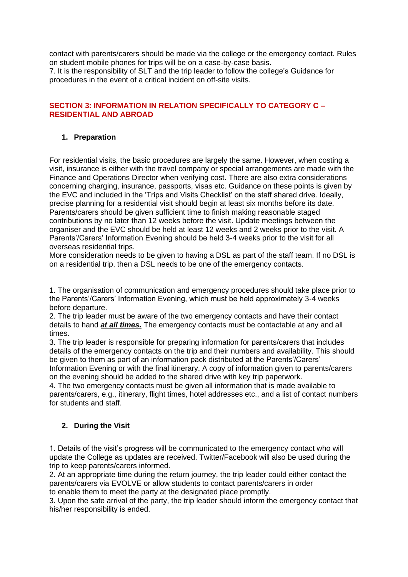contact with parents/carers should be made via the college or the emergency contact. Rules on student mobile phones for trips will be on a case-by-case basis. 7. It is the responsibility of SLT and the trip leader to follow the college's Guidance for

procedures in the event of a critical incident on off-site visits.

## **SECTION 3: INFORMATION IN RELATION SPECIFICALLY TO CATEGORY C – RESIDENTIAL AND ABROAD**

## **1. Preparation**

For residential visits, the basic procedures are largely the same. However, when costing a visit, insurance is either with the travel company or special arrangements are made with the Finance and Operations Director when verifying cost. There are also extra considerations concerning charging, insurance, passports, visas etc. Guidance on these points is given by the EVC and included in the 'Trips and Visits Checklist' on the staff shared drive. Ideally, precise planning for a residential visit should begin at least six months before its date. Parents/carers should be given sufficient time to finish making reasonable staged contributions by no later than 12 weeks before the visit. Update meetings between the organiser and the EVC should be held at least 12 weeks and 2 weeks prior to the visit. A Parents'/Carers' Information Evening should be held 3-4 weeks prior to the visit for all overseas residential trips.

More consideration needs to be given to having a DSL as part of the staff team. If no DSL is on a residential trip, then a DSL needs to be one of the emergency contacts.

1. The organisation of communication and emergency procedures should take place prior to the Parents'/Carers' Information Evening, which must be held approximately 3-4 weeks before departure.

2. The trip leader must be aware of the two emergency contacts and have their contact details to hand *at all times.* The emergency contacts must be contactable at any and all times.

3. The trip leader is responsible for preparing information for parents/carers that includes details of the emergency contacts on the trip and their numbers and availability. This should be given to them as part of an information pack distributed at the Parents'/Carers' Information Evening or with the final itinerary. A copy of information given to parents/carers on the evening should be added to the shared drive with key trip paperwork.

4. The two emergency contacts must be given all information that is made available to parents/carers, e.g., itinerary, flight times, hotel addresses etc., and a list of contact numbers for students and staff.

# **2. During the Visit**

1. Details of the visit's progress will be communicated to the emergency contact who will update the College as updates are received. Twitter/Facebook will also be used during the trip to keep parents/carers informed.

2. At an appropriate time during the return journey, the trip leader could either contact the parents/carers via EVOLVE or allow students to contact parents/carers in order to enable them to meet the party at the designated place promptly.

3. Upon the safe arrival of the party, the trip leader should inform the emergency contact that his/her responsibility is ended.